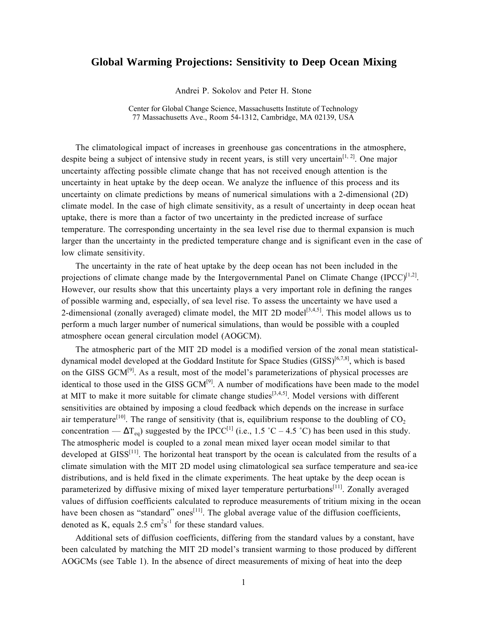## **Global Warming Projections: Sensitivity to Deep Ocean Mixing**

Andrei P. Sokolov and Peter H. Stone

Center for Global Change Science, Massachusetts Institute of Technology 77 Massachusetts Ave., Room 54-1312, Cambridge, MA 02139, USA

The climatological impact of increases in greenhouse gas concentrations in the atmosphere, despite being a subject of intensive study in recent years, is still very uncertain<sup>[1, 2]</sup>. One major uncertainty affecting possible climate change that has not received enough attention is the uncertainty in heat uptake by the deep ocean. We analyze the influence of this process and its uncertainty on climate predictions by means of numerical simulations with a 2-dimensional (2D) climate model. In the case of high climate sensitivity, as a result of uncertainty in deep ocean heat uptake, there is more than a factor of two uncertainty in the predicted increase of surface temperature. The corresponding uncertainty in the sea level rise due to thermal expansion is much larger than the uncertainty in the predicted temperature change and is significant even in the case of low climate sensitivity.

The uncertainty in the rate of heat uptake by the deep ocean has not been included in the projections of climate change made by the Intergovernmental Panel on Climate Change (IPCC) $^{[1,2]}$ . However, our results show that this uncertainty plays a very important role in defining the ranges of possible warming and, especially, of sea level rise. To assess the uncertainty we have used a 2-dimensional (zonally averaged) climate model, the MIT 2D model<sup>[3,4,5]</sup>. This model allows us to perform a much larger number of numerical simulations, than would be possible with a coupled atmosphere ocean general circulation model (AOGCM).

The atmospheric part of the MIT 2D model is a modified version of the zonal mean statisticaldynamical model developed at the Goddard Institute for Space Studies  $(GISS)^{[6,7,8]}$ , which is based on the GISS GCM<sup>[9]</sup>. As a result, most of the model's parameterizations of physical processes are identical to those used in the GISS GCM<sup>[9]</sup>. A number of modifications have been made to the model at MIT to make it more suitable for climate change studies<sup>[3,4,5]</sup>. Model versions with different sensitivities are obtained by imposing a cloud feedback which depends on the increase in surface air temperature<sup>[10]</sup>. The range of sensitivity (that is, equilibrium response to the doubling of  $CO<sub>2</sub>$ concentration —  $\Delta T_{eq}$ ) suggested by the IPCC<sup>[1]</sup> (i.e., 1.5 °C – 4.5 °C) has been used in this study. The atmospheric model is coupled to a zonal mean mixed layer ocean model similar to that developed at  $GISS<sup>[11]</sup>$ . The horizontal heat transport by the ocean is calculated from the results of a climate simulation with the MIT 2D model using climatological sea surface temperature and sea-ice distributions, and is held fixed in the climate experiments. The heat uptake by the deep ocean is parameterized by diffusive mixing of mixed layer temperature perturbations<sup>[11]</sup>. Zonally averaged values of diffusion coefficients calculated to reproduce measurements of tritium mixing in the ocean have been chosen as "standard" ones<sup>[11]</sup>. The global average value of the diffusion coefficients, denoted as K, equals  $2.5 \text{ cm}^2\text{s}^{-1}$  for these standard values.

Additional sets of diffusion coefficients, differing from the standard values by a constant, have been calculated by matching the MIT 2D model's transient warming to those produced by different AOGCMs (see Table 1). In the absence of direct measurements of mixing of heat into the deep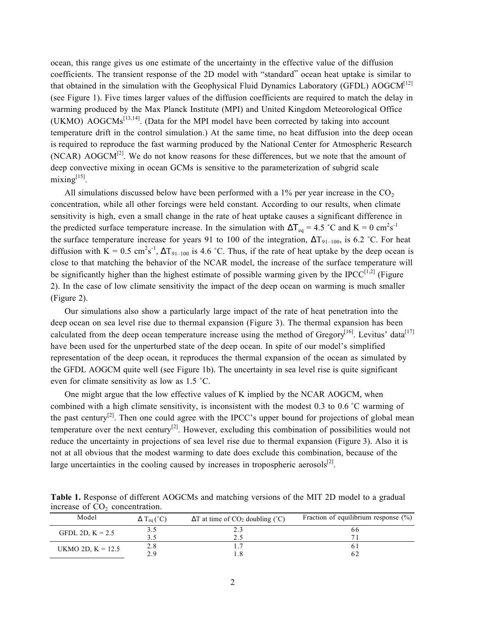ocean, this range gives us one estimate of the uncertainty in the effective value of the diffusion coefficients. The transient response of the 2D model with "standard" ocean heat uptake is similar to that obtained in the simulation with the Geophysical Fluid Dynamics Laboratory (GFDL) AOGCM<sup>[12]</sup> (see Figure 1). Five times larger values of the diffusion coefficients are required to match the delay in warming produced by the Max Planck Institute (MPI) and United Kingdom Meteorological Office (UKMO)  $AOGCMs^{[13,14]}$ . (Data for the MPI model have been corrected by taking into account temperature drift in the control simulation.) At the same time, no heat diffusion into the deep ocean is required to reproduce the fast warming produced by the National Center for Atmospheric Research  $(NCAR)$  AOGCM<sup>[2]</sup>. We do not know reasons for these differences, but we note that the amount of deep convective mixing in ocean GCMs is sensitive to the parameterization of subgrid scale  $mixing^{[15]}$ .

All simulations discussed below have been performed with a 1% per year increase in the  $CO<sub>2</sub>$ concentration, while all other forcings were held constant. According to our results, when climate sensitivity is high, even a small change in the rate of heat uptake causes a significant difference in the predicted surface temperature increase. In the simulation with  $\Delta T_{eq} = 4.5 \degree C$  and  $K = 0 \text{ cm}^2 \text{s}^{-1}$ the surface temperature increase for years 91 to 100 of the integration,  $\Delta T_{91-100}$ , is 6.2 °C. For heat diffusion with  $K = 0.5$  cm<sup>2</sup>s<sup>-1</sup>,  $\Delta T_{91-100}$  is 4.6 °C. Thus, if the rate of heat uptake by the deep ocean is close to that matching the behavior of the NCAR model, the increase of the surface temperature will be significantly higher than the highest estimate of possible warming given by the IPCC $[1,2]$  (Figure 2). In the case of low climate sensitivity the impact of the deep ocean on warming is much smaller (Figure 2).

Our simulations also show a particularly large impact of the rate of heat penetration into the deep ocean on sea level rise due to thermal expansion (Figure 3). The thermal expansion has been calculated from the deep ocean temperature increase using the method of Gregory $\overline{I}^{16}$ . Levitus' data<sup>[17]</sup> have been used for the unperturbed state of the deep ocean. In spite of our model's simplified representation of the deep ocean, it reproduces the thermal expansion of the ocean as simulated by the GFDL AOGCM quite well (see Figure 1b). The uncertainty in sea level rise is quite significant even for climate sensitivity as low as 1.5 ˚C.

One might argue that the low effective values of K implied by the NCAR AOGCM, when combined with a high climate sensitivity, is inconsistent with the modest 0.3 to 0.6 ˚C warming of the past century<sup>[2]</sup>. Then one could agree with the IPCC's upper bound for projections of global mean temperature over the next century<sup>[2]</sup>. However, excluding this combination of possibilities would not reduce the uncertainty in projections of sea level rise due to thermal expansion (Figure 3). Also it is not at all obvious that the modest warming to date does exclude this combination, because of the large uncertainties in the cooling caused by increases in tropospheric aerosols $^{[2]}$ .

| increase of CO <sub>2</sub> concentration. |                                          |                                                                |                                          |
|--------------------------------------------|------------------------------------------|----------------------------------------------------------------|------------------------------------------|
| Model                                      | $\Delta$ T <sub>eq</sub> ( $^{\circ}$ C) | $\Delta T$ at time of CO <sub>2</sub> doubling ( $^{\circ}$ C) | Fraction of equilibrium response $(\% )$ |
|                                            |                                          |                                                                |                                          |

**Table 1.** Response of different AOGCMs and matching versions of the MIT 2D model to a gradual

| Model               | $\Delta$ T <sub>eq</sub> ( $^{\circ}$ C) | $\Delta T$ at time of $CO_2$ doubling (°C) | Fraction of equilibrium response $(\%)$ |
|---------------------|------------------------------------------|--------------------------------------------|-----------------------------------------|
| GFDL 2D, $K = 2.5$  |                                          |                                            | 66                                      |
|                     |                                          |                                            |                                         |
| UKMO 2D, $K = 12.5$ |                                          |                                            |                                         |
|                     | റ വ                                      |                                            |                                         |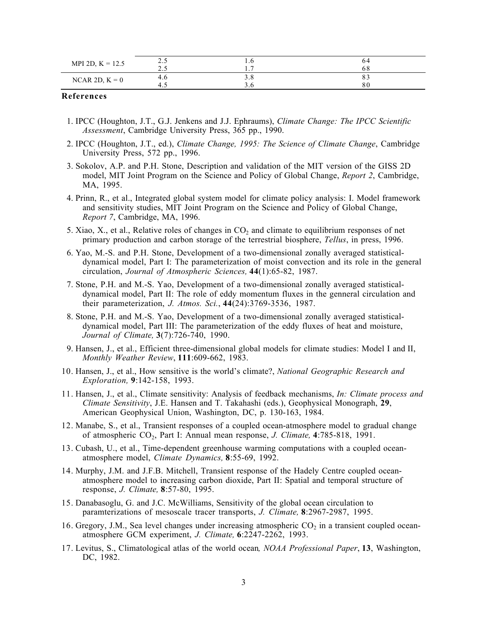| MPI 2D, $K = 12.5$ | ر . ب | 1.U    | 04        |
|--------------------|-------|--------|-----------|
|                    | ن .   | -<br>. | oδ        |
| NCAR 2D, $K = 0$   | 4.0   | J.O    | $\circ$ - |
|                    | ن. ۲  | J.V    | 80        |

## **References**

- 1. IPCC (Houghton, J.T., G.J. Jenkens and J.J. Ephraums), *Climate Change: The IPCC Scientific Assessment*, Cambridge University Press, 365 pp., 1990.
- 2. IPCC (Houghton, J.T., ed.), *Climate Change, 1995: The Science of Climate Change*, Cambridge University Press, 572 pp., 1996.
- 3. Sokolov, A.P. and P.H. Stone, Description and validation of the MIT version of the GISS 2D model, MIT Joint Program on the Science and Policy of Global Change, *Report 2*, Cambridge, MA, 1995.
- 4. Prinn, R., et al., Integrated global system model for climate policy analysis: I. Model framework and sensitivity studies, MIT Joint Program on the Science and Policy of Global Change, *Report 7*, Cambridge, MA, 1996.
- 5. Xiao, X., et al., Relative roles of changes in  $CO<sub>2</sub>$  and climate to equilibrium responses of net primary production and carbon storage of the terrestrial biosphere, *Tellus*, in press, 1996.
- 6. Yao, M.-S. and P.H. Stone, Development of a two-dimensional zonally averaged statisticaldynamical model, Part I: The parameterization of moist convection and its role in the general circulation, *Journal of Atmospheric Sciences,* **44**(1):65-82, 1987.
- 7. Stone, P.H. and M.-S. Yao, Development of a two-dimensional zonally averaged statisticaldynamical model, Part II: The role of eddy momentum fluxes in the genneral circulation and their parameterization, *J. Atmos. Sci.*, **44**(24):3769-3536, 1987.
- 8. Stone, P.H. and M.-S. Yao, Development of a two-dimensional zonally averaged statisticaldynamical model, Part III: The parameterization of the eddy fluxes of heat and moisture, *Journal of Climate,* **3**(7):726-740, 1990.
- 9. Hansen, J., et al., Efficient three-dimensional global models for climate studies: Model I and II, *Monthly Weather Review*, **111**:609-662, 1983.
- 10. Hansen, J., et al., How sensitive is the world's climate?, *National Geographic Research and Exploration,* **9**:142-158, 1993.
- 11. Hansen, J., et al., Climate sensitivity: Analysis of feedback mechanisms, *In: Climate process and Climate Sensitivity*, J.E. Hansen and T. Takahashi (eds.), Geophysical Monograph, **29**, American Geophysical Union, Washington, DC, p. 130-163, 1984.
- 12. Manabe, S., et al., Transient responses of a coupled ocean-atmosphere model to gradual change of atmospheric CO2, Part I: Annual mean response, *J. Climate,* **4**:785-818, 1991.
- 13. Cubash, U., et al., Time-dependent greenhouse warming computations with a coupled oceanatmosphere model, *Climate Dynamics,* **8**:55-69, 1992.
- 14. Murphy, J.M. and J.F.B. Mitchell, Transient response of the Hadely Centre coupled oceanatmosphere model to increasing carbon dioxide, Part II: Spatial and temporal structure of response, *J. Climate,* **8**:57-80, 1995.
- 15. Danabasoglu, G. and J.C. McWilliams, Sensitivity of the global ocean circulation to paramterizations of mesoscale tracer transports, *J. Climate,* **8**:2967-2987, 1995.
- 16. Gregory, J.M., Sea level changes under increasing atmospheric  $CO<sub>2</sub>$  in a transient coupled oceanatmosphere GCM experiment, *J. Climate,* **6**:2247-2262, 1993.
- 17. Levitus, S., Climatological atlas of the world ocean*, NOAA Professional Paper*, **13**, Washington, DC, 1982.